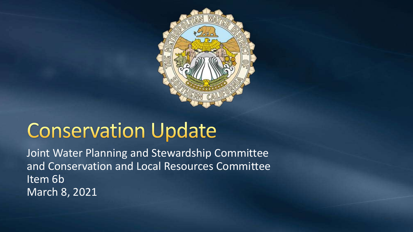

### **Conservation Update**

Joint Water Planning and Stewardship Committee and Conservation and Local Resources Committee Item 6b March 8, 2021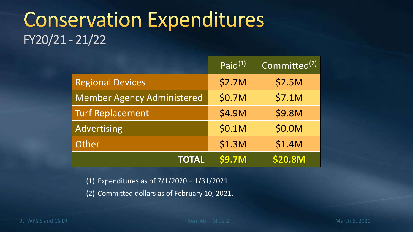### **Conservation Expenditures** FY20/21 - 21/22

|                                   | Paid <sup>(1)</sup> | Committed <sup>(2)</sup> |
|-----------------------------------|---------------------|--------------------------|
| <b>Regional Devices</b>           | \$2.7M              | \$2.5M                   |
| <b>Member Agency Administered</b> | \$0.7M              | \$7.1M                   |
| <b>Turf Replacement</b>           | \$4.9M              | <b>\$9.8M</b>            |
| Advertising                       | \$0.1M              | \$0.0M                   |
| Other                             | \$1.3M              | \$1.4M                   |
| <b>TOTAL</b>                      | <b>\$9.7M</b>       | <b>\$20.8M</b>           |

(1) Expenditures as of 7/1/2020 – 1/31/2021.

(2) Committed dollars as of February 10, 2021.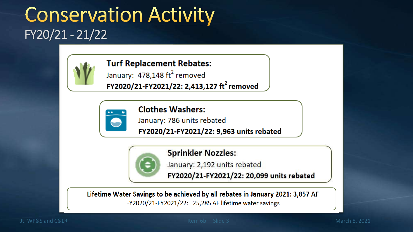### **Conservation Activity** FY20/21 - 21/22



**Turf Replacement Rebates:** 

January: 478,148 ft<sup>2</sup> removed FY2020/21-FY2021/22: 2,413,127 ft<sup>2</sup> removed



**Clothes Washers:** 

January: 786 units rebated

FY2020/21-FY2021/22: 9,963 units rebated



**Sprinkler Nozzles:** 

January: 2,192 units rebated

FY2020/21-FY2021/22: 20,099 units rebated

Lifetime Water Savings to be achieved by all rebates in January 2021: 3,857 AF FY2020/21-FY2021/22: 25,285 AF lifetime water savings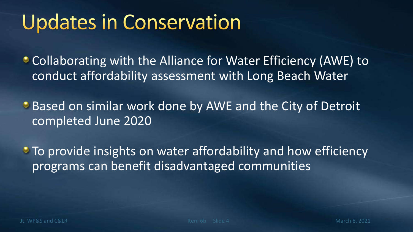## **Updates in Conservation**

• Collaborating with the Alliance for Water Efficiency (AWE) to conduct affordability assessment with Long Beach Water

**Based on similar work done by AWE and the City of Detroit** completed June 2020

• To provide insights on water affordability and how efficiency programs can benefit disadvantaged communities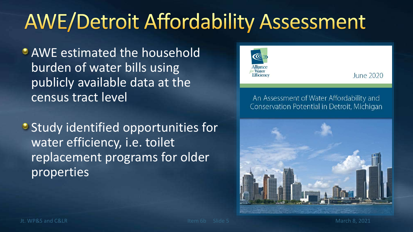# **AWE/Detroit Affordability Assessment**

AWE estimated the household burden of water bills using publicly available data at the census tract level

**• Study identified opportunities for** water efficiency, i.e. toilet replacement programs for older properties



June 2020

An Assessment of Water Affordability and Conservation Potential in Detroit, Michigan

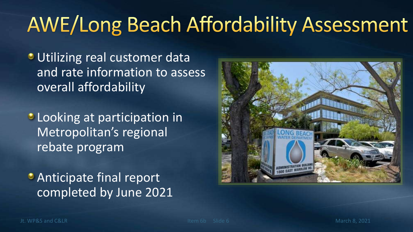# **AWE/Long Beach Affordability Assessment**

**Utilizing real customer data** and rate information to assess overall affordability

**• Looking at participation in** Metropolitan's regional rebate program

**Anticipate final report** completed by June 2021